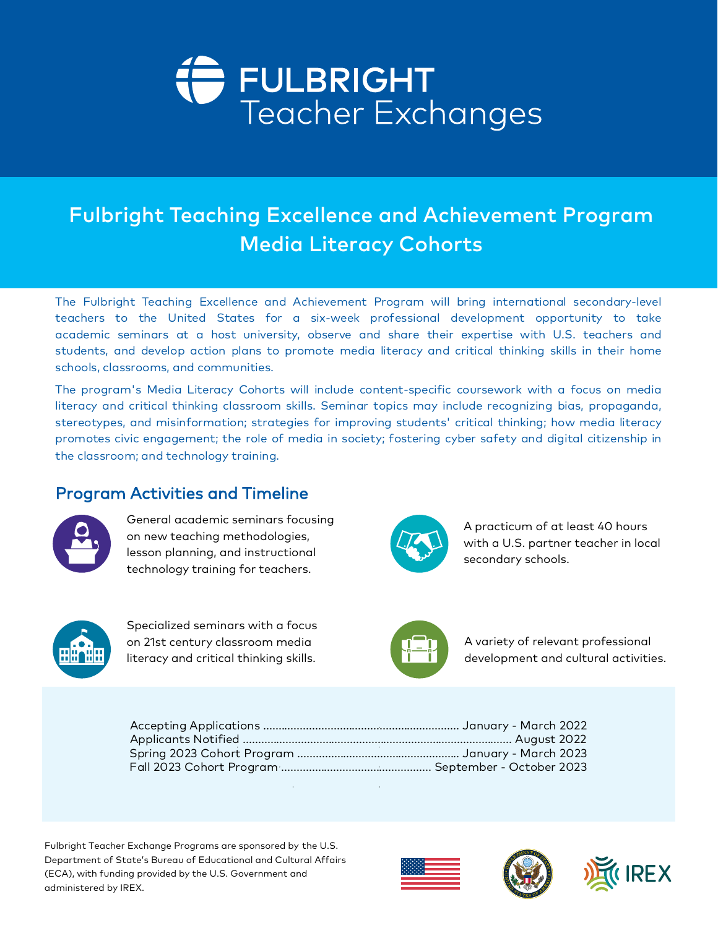# FULBRIGHT<br>Teacher Exchanges

## Fulbright Teaching Excellence and Achievement Program Media Literacy Cohorts

The Fulbright Teaching Excellence and Achievement Program will bring international secondary-level<br>teachers to the United States for a six-week professional development opportunity to take<br>academic seminars at a host unive

The program's Media Literacy Cohorts will include content-specific coursework with a focus on media<br>literacy and critical thinking classroom skills. Seminar topics may include recognizing bias, propaganda,<br>stereotypes, and

## Program Activities and Timeline



General academic seminars focusing on new teaching methodologies, lesson planning, and instructional technology training for teachers.



A practicum of at least 40 hours with a U.S. partner teacher in local secondary schools.



Specialized seminars with a focus on 21st century classroom media literacy and critical thinking skills.



A variety of relevant professional development and cultural activities.

Fulbright Teacher Exchange Programs are sponsored by the U.S. Department of State's Bureau of Educational and Cultural Affairs (ECA), with funding provided by the U.S. Government and administered by IREX.